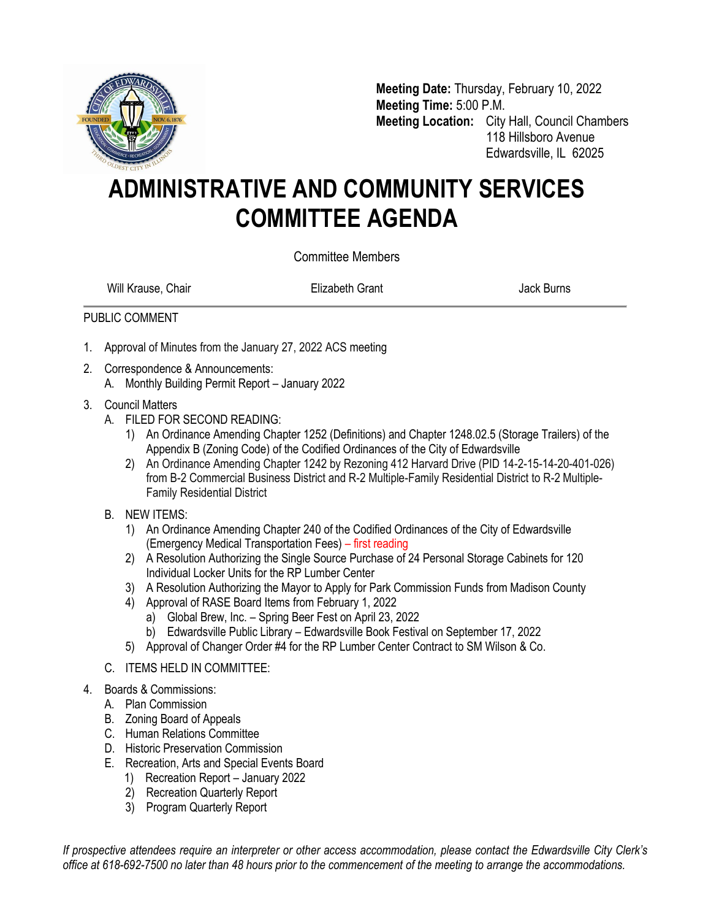

**Meeting Date:** Thursday, February 10, 2022 **Meeting Time:** 5:00 P.M. **Meeting Location:** City Hall, Council Chambers 118 Hillsboro Avenue Edwardsville, IL 62025

## **ADMINISTRATIVE AND COMMUNITY SERVICES COMMITTEE AGENDA**

Committee Members

Will Krause, Chair **Elizabeth Grant** Chair Burns Jack Burns

## PUBLIC COMMENT

- 1. Approval of Minutes from the January 27, 2022 ACS meeting
- 2. Correspondence & Announcements:
	- A. Monthly Building Permit Report January 2022
- 3. Council Matters
	- A. FILED FOR SECOND READING:
		- 1) An Ordinance Amending Chapter 1252 (Definitions) and Chapter 1248.02.5 (Storage Trailers) of the Appendix B (Zoning Code) of the Codified Ordinances of the City of Edwardsville
		- 2) An Ordinance Amending Chapter 1242 by Rezoning 412 Harvard Drive (PID 14-2-15-14-20-401-026) from B-2 Commercial Business District and R-2 Multiple-Family Residential District to R-2 Multiple-Family Residential District
	- B. NEW ITEMS:
		- 1) An Ordinance Amending Chapter 240 of the Codified Ordinances of the City of Edwardsville (Emergency Medical Transportation Fees) – first reading
		- 2) A Resolution Authorizing the Single Source Purchase of 24 Personal Storage Cabinets for 120 Individual Locker Units for the RP Lumber Center
		- 3) A Resolution Authorizing the Mayor to Apply for Park Commission Funds from Madison County
		- 4) Approval of RASE Board Items from February 1, 2022
			- a) Global Brew, Inc. Spring Beer Fest on April 23, 2022
			- b) Edwardsville Public Library Edwardsville Book Festival on September 17, 2022
		- 5) Approval of Changer Order #4 for the RP Lumber Center Contract to SM Wilson & Co.
	- C. ITEMS HELD IN COMMITTEE:
- 4. Boards & Commissions:
	- A. Plan Commission
	- B. Zoning Board of Appeals
	- C. Human Relations Committee
	- D. Historic Preservation Commission
	- E. Recreation, Arts and Special Events Board
		- 1) Recreation Report January 2022
		- 2) Recreation Quarterly Report
		- 3) Program Quarterly Report

*If prospective attendees require an interpreter or other access accommodation, please contact the Edwardsville City Clerk's office at 618-692-7500 no later than 48 hours prior to the commencement of the meeting to arrange the accommodations.*